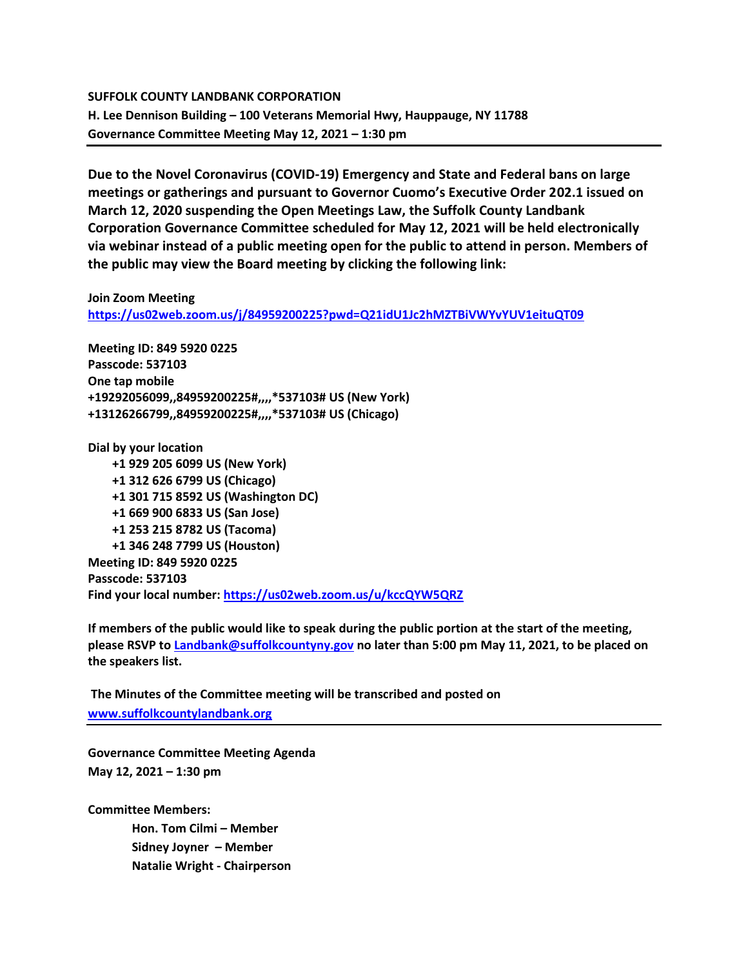## **SUFFOLK COUNTY LANDBANK CORPORATION H. Lee Dennison Building – 100 Veterans Memorial Hwy, Hauppauge, NY 11788 Governance Committee Meeting May 12, 2021 – 1:30 pm**

**Due to the Novel Coronavirus (COVID-19) Emergency and State and Federal bans on large meetings or gatherings and pursuant to Governor Cuomo's Executive Order 202.1 issued on March 12, 2020 suspending the Open Meetings Law, the Suffolk County Landbank Corporation Governance Committee scheduled for May 12, 2021 will be held electronically via webinar instead of a public meeting open for the public to attend in person. Members of the public may view the Board meeting by clicking the following link:**

## **Join Zoom Meeting**

**<https://us02web.zoom.us/j/84959200225?pwd=Q21idU1Jc2hMZTBiVWYvYUV1eituQT09>**

**Meeting ID: 849 5920 0225 Passcode: 537103 One tap mobile +19292056099,,84959200225#,,,,\*537103# US (New York) +13126266799,,84959200225#,,,,\*537103# US (Chicago)**

**Dial by your location +1 929 205 6099 US (New York) +1 312 626 6799 US (Chicago) +1 301 715 8592 US (Washington DC) +1 669 900 6833 US (San Jose) +1 253 215 8782 US (Tacoma) +1 346 248 7799 US (Houston) Meeting ID: 849 5920 0225 Passcode: 537103 Find your local number:<https://us02web.zoom.us/u/kccQYW5QRZ>**

**If members of the public would like to speak during the public portion at the start of the meeting, please RSVP t[o Landbank@suffolkcountyny.gov](mailto:Landbank@suffolkcountyny.gov) no later than 5:00 pm May 11, 2021, to be placed on the speakers list.** 

**The Minutes of the Committee meeting will be transcribed and posted on [www.suffolkcountylandbank.org](http://www.suffolkcountylandbank.org/)**

**Governance Committee Meeting Agenda May 12, 2021 – 1:30 pm**

**Committee Members: Hon. Tom Cilmi – Member**

**Sidney Joyner – Member Natalie Wright - Chairperson**